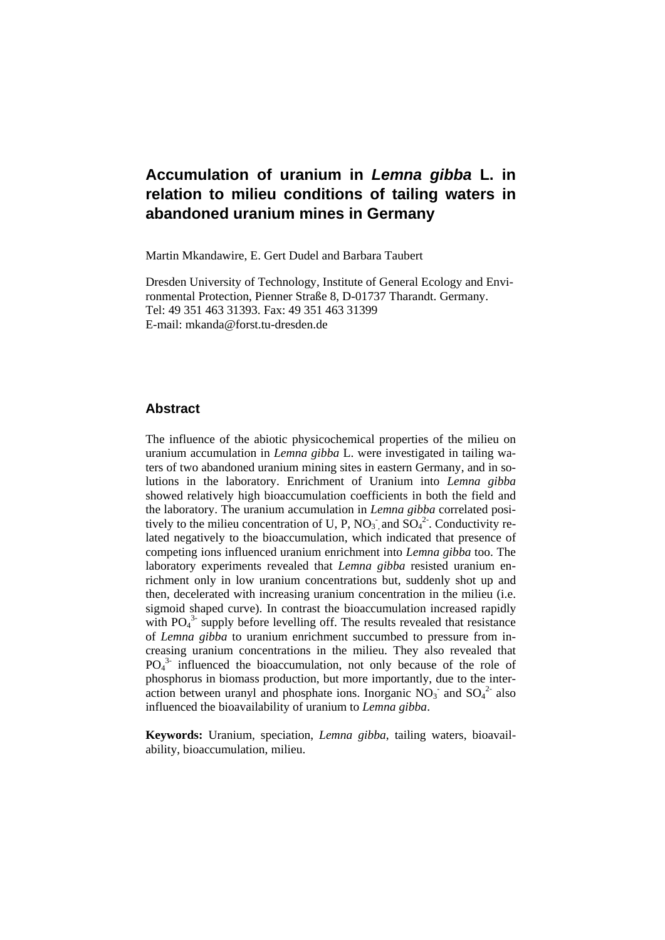# **Accumulation of uranium in** *Lemna gibba* **L. in relation to milieu conditions of tailing waters in abandoned uranium mines in Germany**

Martin Mkandawire, E. Gert Dudel and Barbara Taubert

Dresden University of Technology, Institute of General Ecology and Environmental Protection, Pienner Straße 8, D-01737 Tharandt. Germany. Tel: 49 351 463 31393. Fax: 49 351 463 31399 E-mail: mkanda@forst.tu-dresden.de

# **Abstract**

The influence of the abiotic physicochemical properties of the milieu on uranium accumulation in *Lemna gibba* L. were investigated in tailing waters of two abandoned uranium mining sites in eastern Germany, and in solutions in the laboratory. Enrichment of Uranium into *Lemna gibba* showed relatively high bioaccumulation coefficients in both the field and the laboratory. The uranium accumulation in *Lemna gibba* correlated positively to the milieu concentration of U, P,  $NO<sub>3</sub>$  and  $SO<sub>4</sub><sup>2</sup>$ . Conductivity related negatively to the bioaccumulation, which indicated that presence of competing ions influenced uranium enrichment into *Lemna gibba* too. The laboratory experiments revealed that *Lemna gibba* resisted uranium enrichment only in low uranium concentrations but, suddenly shot up and then, decelerated with increasing uranium concentration in the milieu (i.e. sigmoid shaped curve). In contrast the bioaccumulation increased rapidly with PO<sub>4</sub><sup>3</sup> supply before levelling off. The results revealed that resistance of *Lemna gibba* to uranium enrichment succumbed to pressure from increasing uranium concentrations in the milieu. They also revealed that  $PO<sub>4</sub><sup>3</sup>$  influenced the bioaccumulation, not only because of the role of phosphorus in biomass production, but more importantly, due to the interaction between uranyl and phosphate ions. Inorganic  $NO<sub>3</sub>$  and  $SO<sub>4</sub>$ <sup>2</sup> also influenced the bioavailability of uranium to *Lemna gibba*.

**Keywords:** Uranium, speciation, *Lemna gibba*, tailing waters, bioavailability, bioaccumulation, milieu.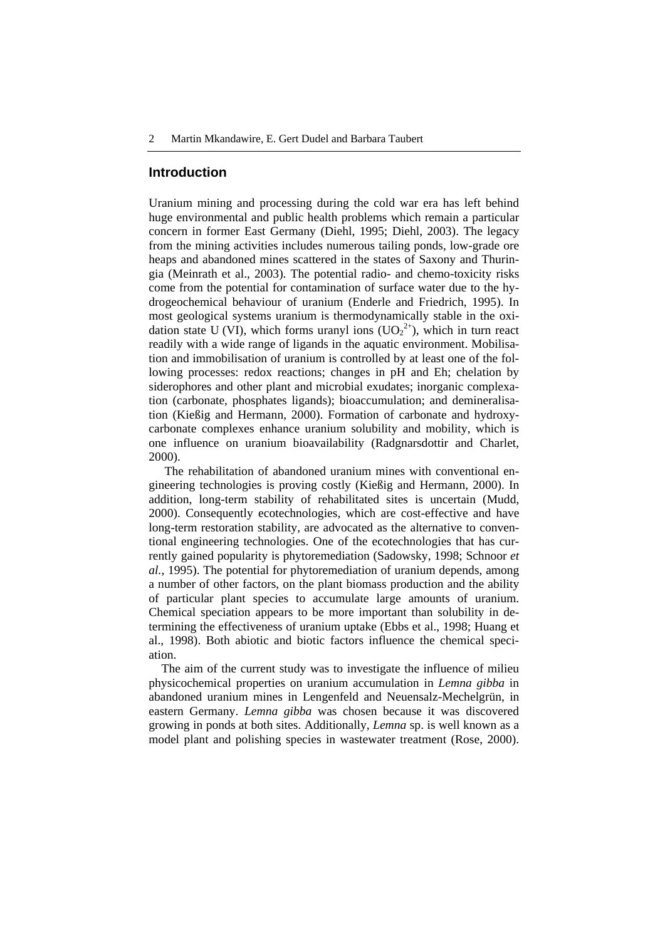#### **Introduction**

Uranium mining and processing during the cold war era has left behind huge environmental and public health problems which remain a particular concern in former East Germany (Diehl, 1995; Diehl, 2003). The legacy from the mining activities includes numerous tailing ponds, low-grade ore heaps and abandoned mines scattered in the states of Saxony and Thuringia (Meinrath et al., 2003). The potential radio- and chemo-toxicity risks come from the potential for contamination of surface water due to the hydrogeochemical behaviour of uranium (Enderle and Friedrich, 1995). In most geological systems uranium is thermodynamically stable in the oxidation state U (VI), which forms uranyl ions  $(UO_2^{2+})$ , which in turn react readily with a wide range of ligands in the aquatic environment. Mobilisation and immobilisation of uranium is controlled by at least one of the following processes: redox reactions; changes in pH and Eh; chelation by siderophores and other plant and microbial exudates; inorganic complexation (carbonate, phosphates ligands); bioaccumulation; and demineralisation (Kießig and Hermann, 2000). Formation of carbonate and hydroxycarbonate complexes enhance uranium solubility and mobility, which is one influence on uranium bioavailability (Radgnarsdottir and Charlet, 2000).

The rehabilitation of abandoned uranium mines with conventional engineering technologies is proving costly (Kießig and Hermann, 2000). In addition, long-term stability of rehabilitated sites is uncertain (Mudd, 2000). Consequently ecotechnologies, which are cost-effective and have long-term restoration stability, are advocated as the alternative to conventional engineering technologies. One of the ecotechnologies that has currently gained popularity is phytoremediation (Sadowsky, 1998; Schnoor *et al.*, 1995). The potential for phytoremediation of uranium depends, among a number of other factors, on the plant biomass production and the ability of particular plant species to accumulate large amounts of uranium. Chemical speciation appears to be more important than solubility in determining the effectiveness of uranium uptake (Ebbs et al., 1998; Huang et al., 1998). Both abiotic and biotic factors influence the chemical speciation.

The aim of the current study was to investigate the influence of milieu physicochemical properties on uranium accumulation in *Lemna gibba* in abandoned uranium mines in Lengenfeld and Neuensalz-Mechelgrün, in eastern Germany. *Lemna gibba* was chosen because it was discovered growing in ponds at both sites. Additionally, *Lemna* sp. is well known as a model plant and polishing species in wastewater treatment (Rose, 2000).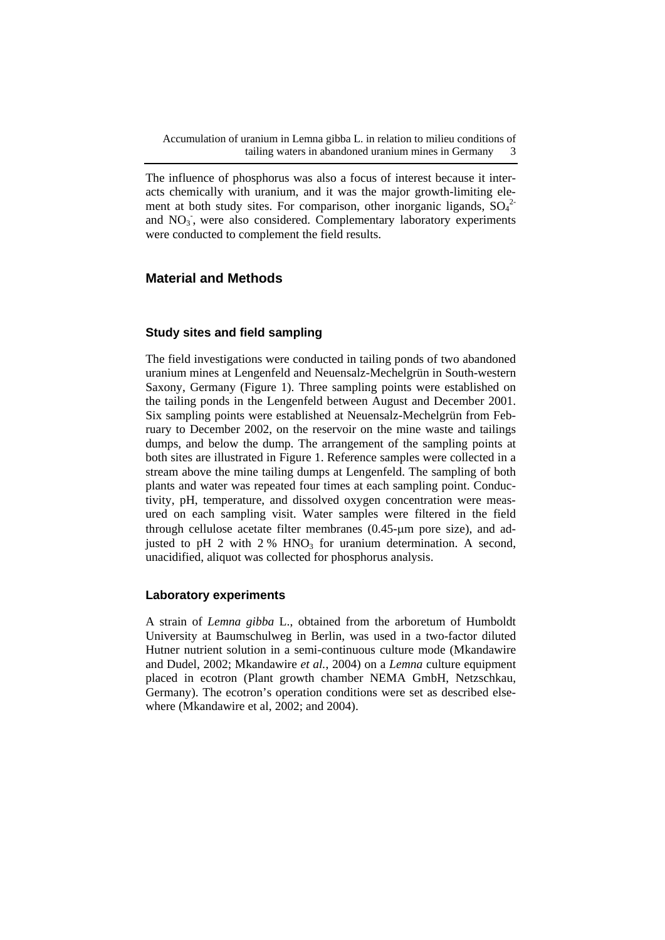The influence of phosphorus was also a focus of interest because it interacts chemically with uranium, and it was the major growth-limiting element at both study sites. For comparison, other inorganic ligands,  $SO_4^2$ and NO<sub>3</sub>, were also considered. Complementary laboratory experiments were conducted to complement the field results.

# **Material and Methods**

## **Study sites and field sampling**

The field investigations were conducted in tailing ponds of two abandoned uranium mines at Lengenfeld and Neuensalz-Mechelgrün in South-western Saxony, Germany (Figure 1). Three sampling points were established on the tailing ponds in the Lengenfeld between August and December 2001. Six sampling points were established at Neuensalz-Mechelgrün from February to December 2002, on the reservoir on the mine waste and tailings dumps, and below the dump. The arrangement of the sampling points at both sites are illustrated in Figure 1. Reference samples were collected in a stream above the mine tailing dumps at Lengenfeld. The sampling of both plants and water was repeated four times at each sampling point. Conductivity, pH, temperature, and dissolved oxygen concentration were measured on each sampling visit. Water samples were filtered in the field through cellulose acetate filter membranes (0.45-μm pore size), and adjusted to pH 2 with  $2\%$  HNO<sub>3</sub> for uranium determination. A second, unacidified, aliquot was collected for phosphorus analysis.

#### **Laboratory experiments**

A strain of *Lemna gibba* L., obtained from the arboretum of Humboldt University at Baumschulweg in Berlin, was used in a two-factor diluted Hutner nutrient solution in a semi-continuous culture mode (Mkandawire and Dudel, 2002; Mkandawire *et al.*, 2004) on a *Lemna* culture equipment placed in ecotron (Plant growth chamber NEMA GmbH, Netzschkau, Germany). The ecotron's operation conditions were set as described elsewhere (Mkandawire et al, 2002; and 2004).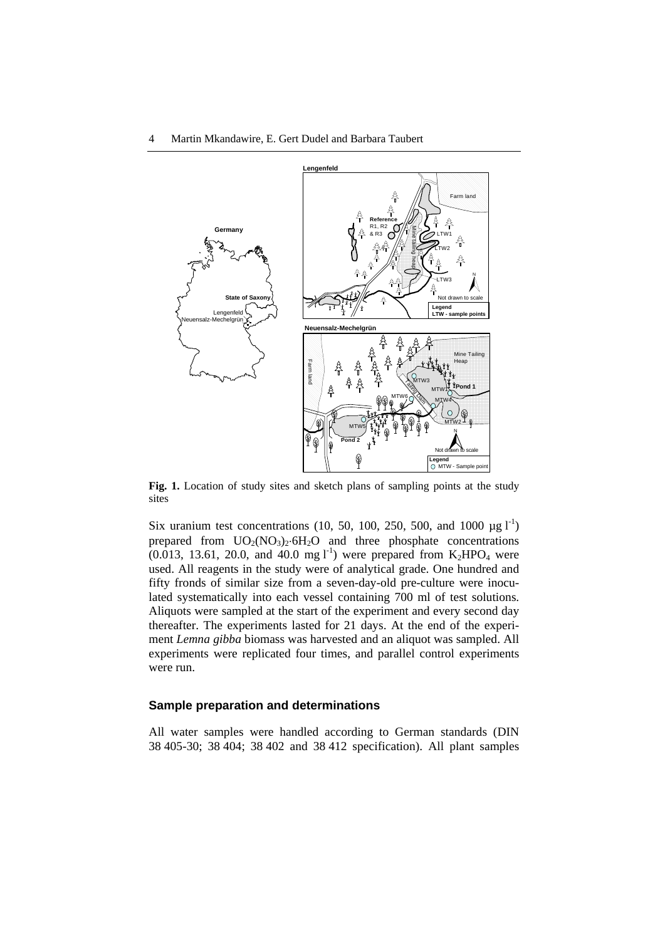

Fig. 1. Location of study sites and sketch plans of sampling points at the study sites

Six uranium test concentrations (10, 50, 100, 250, 500, and 1000  $\mu$ g l<sup>-1</sup>) prepared from  $UO_2(NO_3)_2.6H_2O$  and three phosphate concentrations  $(0.013, 13.61, 20.0,$  and 40.0 mg l<sup>-1</sup>) were prepared from  $K_2HPO_4$  were used. All reagents in the study were of analytical grade. One hundred and fifty fronds of similar size from a seven-day-old pre-culture were inoculated systematically into each vessel containing 700 ml of test solutions. Aliquots were sampled at the start of the experiment and every second day thereafter. The experiments lasted for 21 days. At the end of the experiment *Lemna gibba* biomass was harvested and an aliquot was sampled. All experiments were replicated four times, and parallel control experiments were run.

#### **Sample preparation and determinations**

All water samples were handled according to German standards (DIN 38 405-30; 38 404; 38 402 and 38 412 specification). All plant samples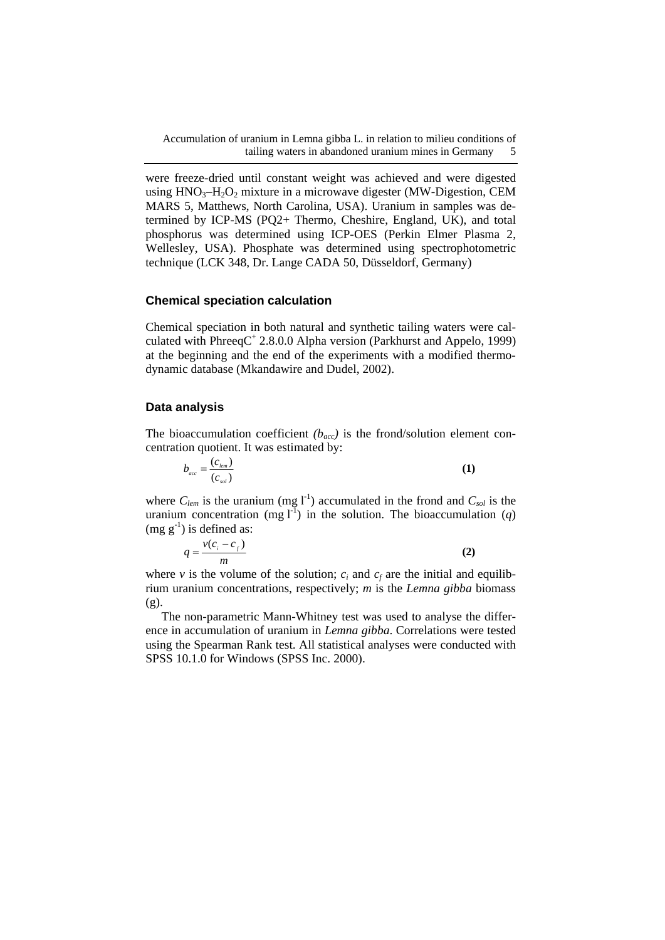Accumulation of uranium in Lemna gibba L. in relation to milieu conditions of tailing waters in abandoned uranium mines in Germany 5

were freeze-dried until constant weight was achieved and were digested using  $HNO<sub>3</sub>-H<sub>2</sub>O<sub>2</sub>$  mixture in a microwave digester (MW-Digestion, CEM MARS 5, Matthews, North Carolina, USA). Uranium in samples was determined by ICP-MS (PQ2+ Thermo, Cheshire, England, UK), and total phosphorus was determined using ICP-OES (Perkin Elmer Plasma 2, Wellesley, USA). Phosphate was determined using spectrophotometric technique (LCK 348, Dr. Lange CADA 50, Düsseldorf, Germany)

#### **Chemical speciation calculation**

Chemical speciation in both natural and synthetic tailing waters were calculated with PhreeqC<sup>+</sup> 2.8.0.0 Alpha version (Parkhurst and Appelo, 1999) at the beginning and the end of the experiments with a modified thermodynamic database (Mkandawire and Dudel, 2002).

#### **Data analysis**

The bioaccumulation coefficient  $(b_{acc})$  is the frond/solution element concentration quotient. It was estimated by:

$$
b_{acc} = \frac{(c_{\ell em})}{(c_{\mathit{sol}})}\tag{1}
$$

where  $C_{\text{lem}}$  is the uranium (mg  $\text{I}^{-1}$ ) accumulated in the frond and  $C_{\text{sol}}$  is the uranium concentration (mg  $I^{-1}$ ) in the solution. The bioaccumulation (*q*)  $(mg g^{-1})$  is defined as:

$$
q = \frac{v(c_i - c_f)}{m} \tag{2}
$$

where *v* is the volume of the solution;  $c_i$  and  $c_f$  are the initial and equilibrium uranium concentrations, respectively; *m* is the *Lemna gibba* biomass (g).

The non-parametric Mann-Whitney test was used to analyse the difference in accumulation of uranium in *Lemna gibba*. Correlations were tested using the Spearman Rank test. All statistical analyses were conducted with SPSS 10.1.0 for Windows (SPSS Inc. 2000).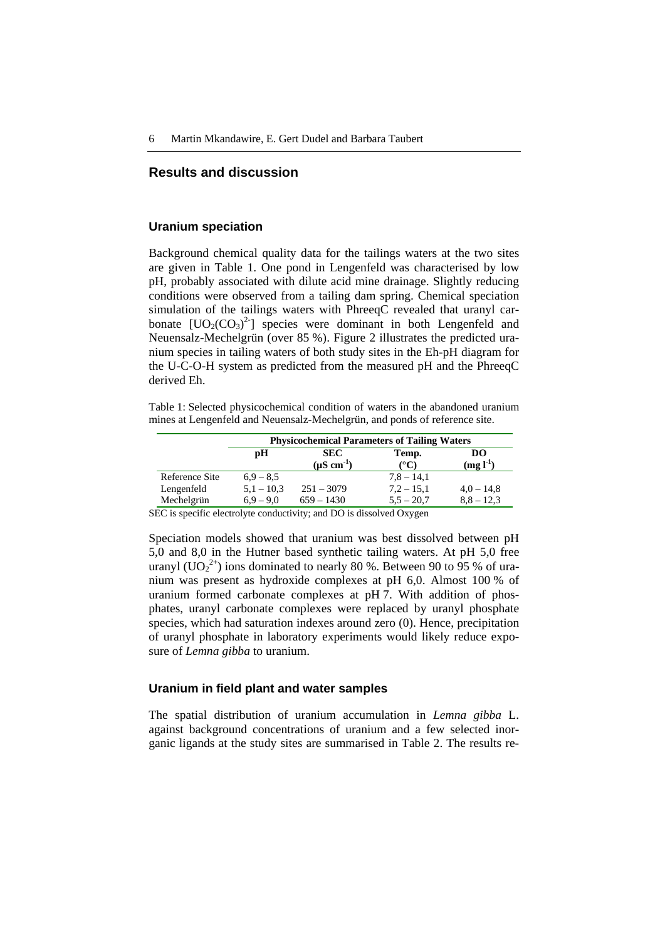## **Results and discussion**

#### **Uranium speciation**

Background chemical quality data for the tailings waters at the two sites are given in Table 1. One pond in Lengenfeld was characterised by low pH, probably associated with dilute acid mine drainage. Slightly reducing conditions were observed from a tailing dam spring. Chemical speciation simulation of the tailings waters with PhreeqC revealed that uranyl carbonate  $[UO_2(CO_3)^2]$  species were dominant in both Lengenfeld and Neuensalz-Mechelgrün (over 85 %). Figure 2 illustrates the predicted uranium species in tailing waters of both study sites in the Eh-pH diagram for the U-C-O-H system as predicted from the measured pH and the PhreeqC derived Eh.

Table 1: Selected physicochemical condition of waters in the abandoned uranium mines at Lengenfeld and Neuensalz-Mechelgrün, and ponds of reference site.

|                          | <b>Physicochemical Parameters of Tailing Waters</b> |                                         |                              |                              |  |  |  |
|--------------------------|-----------------------------------------------------|-----------------------------------------|------------------------------|------------------------------|--|--|--|
|                          | рH                                                  | <b>SEC</b><br>$(\mu S \text{ cm}^{-1})$ | Temp.<br>$^{\circ}$ C)       | DO<br>$(mg I-1)$             |  |  |  |
| Reference Site           | $6.9 - 8.5$                                         |                                         | $7,8 - 14,1$                 |                              |  |  |  |
| Lengenfeld<br>Mechelgrün | $5,1 - 10,3$<br>$6.9 - 9.0$                         | $251 - 3079$<br>$659 - 1430$            | $7.2 - 15.1$<br>$5.5 - 20.7$ | $4.0 - 14.8$<br>$8.8 - 12.3$ |  |  |  |

SEC is specific electrolyte conductivity; and DO is dissolved Oxygen

Speciation models showed that uranium was best dissolved between pH 5,0 and 8,0 in the Hutner based synthetic tailing waters. At pH 5,0 free uranyl (UO<sub>2</sub><sup>2+</sup>) ions dominated to nearly 80 %. Between 90 to 95 % of uranium was present as hydroxide complexes at pH 6,0. Almost 100 % of uranium formed carbonate complexes at pH 7. With addition of phosphates, uranyl carbonate complexes were replaced by uranyl phosphate species, which had saturation indexes around zero (0). Hence, precipitation of uranyl phosphate in laboratory experiments would likely reduce exposure of *Lemna gibba* to uranium.

### **Uranium in field plant and water samples**

The spatial distribution of uranium accumulation in *Lemna gibba* L. against background concentrations of uranium and a few selected inorganic ligands at the study sites are summarised in Table 2. The results re-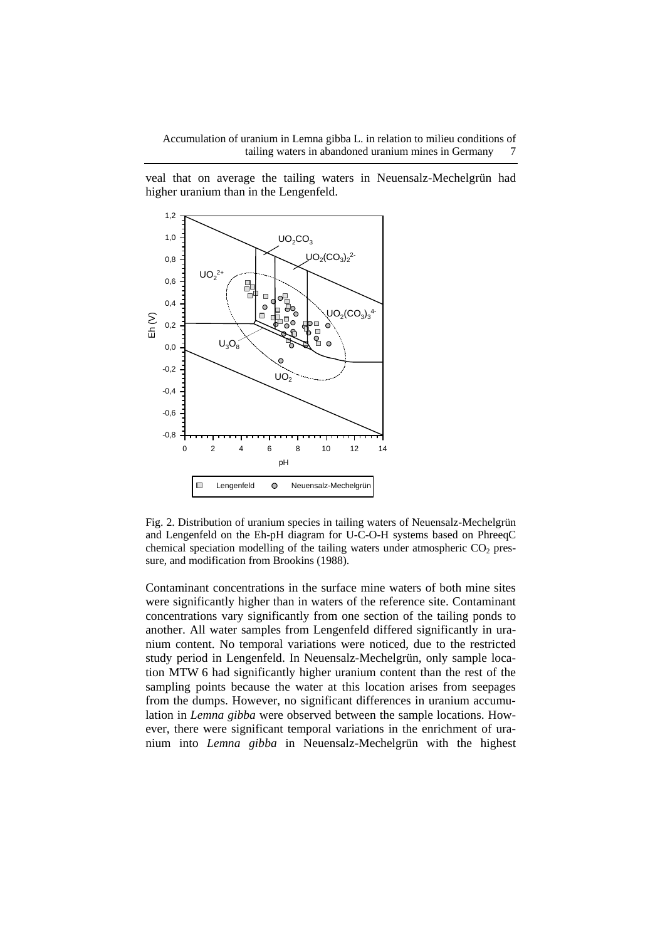veal that on average the tailing waters in Neuensalz-Mechelgrün had higher uranium than in the Lengenfeld.



Fig. 2. Distribution of uranium species in tailing waters of Neuensalz-Mechelgrün and Lengenfeld on the Eh-pH diagram for U-C-O-H systems based on PhreeqC chemical speciation modelling of the tailing waters under atmospheric  $CO<sub>2</sub>$  pressure, and modification from Brookins (1988).

Contaminant concentrations in the surface mine waters of both mine sites were significantly higher than in waters of the reference site. Contaminant concentrations vary significantly from one section of the tailing ponds to another. All water samples from Lengenfeld differed significantly in uranium content. No temporal variations were noticed, due to the restricted study period in Lengenfeld. In Neuensalz-Mechelgrün, only sample location MTW 6 had significantly higher uranium content than the rest of the sampling points because the water at this location arises from seepages from the dumps. However, no significant differences in uranium accumulation in *Lemna gibba* were observed between the sample locations. However, there were significant temporal variations in the enrichment of uranium into *Lemna gibba* in Neuensalz-Mechelgrün with the highest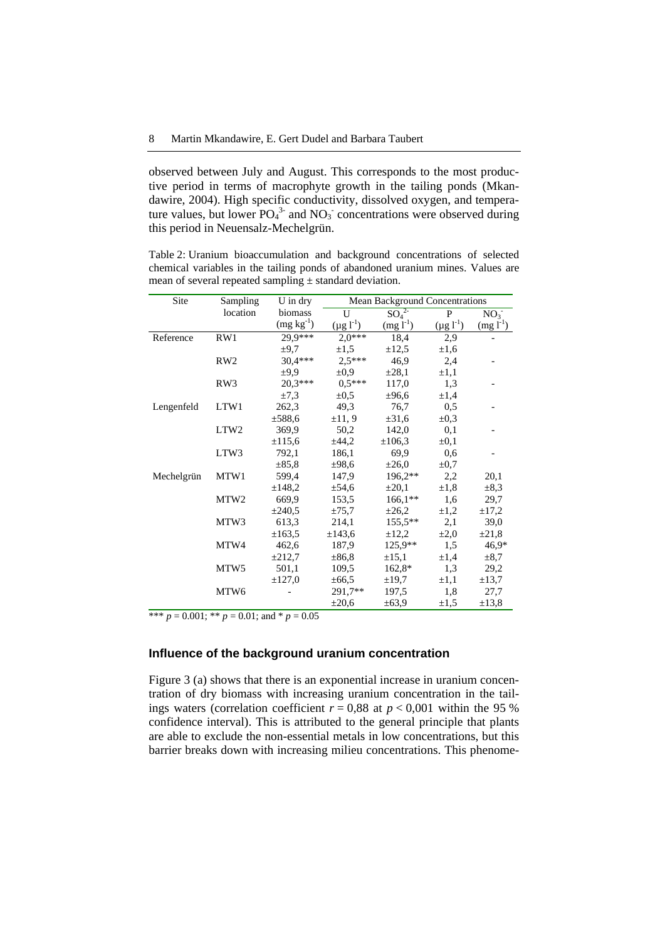observed between July and August. This corresponds to the most productive period in terms of macrophyte growth in the tailing ponds (Mkandawire, 2004). High specific conductivity, dissolved oxygen, and temperature values, but lower  $PO_4^3$  and  $NO_3$  concentrations were observed during this period in Neuensalz-Mechelgrün.

Table 2: Uranium bioaccumulation and background concentrations of selected chemical variables in the tailing ponds of abandoned uranium mines. Values are mean of several repeated sampling  $\pm$  standard deviation.

| Site       | Sampling         | $U$ in dry  | <b>Mean Background Concentrations</b> |                              |                  |                 |  |
|------------|------------------|-------------|---------------------------------------|------------------------------|------------------|-----------------|--|
|            | location         | biomass     | U                                     | SO <sub>4</sub> <sup>2</sup> | P                | NO <sub>3</sub> |  |
|            |                  | $(mg kg-1)$ | $(\mu g l^{-1})$                      | $(mg l-1)$                   | $(\mu g l^{-1})$ | $(mg l^{-1})$   |  |
| Reference  | RW1              | 29,9***     | $2,0***$                              | 18,4                         | 2,9              |                 |  |
|            |                  | $\pm 9.7$   | $\pm 1,5$                             | $\pm 12.5$                   | $\pm 1,6$        |                 |  |
|            | RW <sub>2</sub>  | 30,4***     | $2,5***$                              | 46,9                         | 2,4              |                 |  |
|            |                  | ±9.9        | $\pm 0.9$                             | $\pm 28,1$                   | $\pm 1,1$        |                 |  |
|            | RW3              | 20,3***     | $0.5***$                              | 117,0                        | 1,3              |                 |  |
|            |                  | $\pm 7.3$   | $\pm 0.5$                             | ±96,6                        | $\pm 1.4$        |                 |  |
| Lengenfeld | LTW1             | 262,3       | 49,3                                  | 76,7                         | 0,5              |                 |  |
|            |                  | ±588.6      | ±11,9                                 | ±31,6                        | $\pm 0.3$        |                 |  |
|            | LTW <sub>2</sub> | 369,9       | 50,2                                  | 142,0                        | 0,1              |                 |  |
|            |                  | ±115,6      | ±44,2                                 | $\pm 106,3$                  | $\pm 0.1$        |                 |  |
|            | LTW3             | 792,1       | 186,1                                 | 69,9                         | 0,6              |                 |  |
|            |                  | $\pm 85.8$  | ±98,6                                 | $\pm 26,0$                   | $\pm 0.7$        |                 |  |
| Mechelgrün | MTW1             | 599,4       | 147,9                                 | 196,2**                      | 2,2              | 20,1            |  |
|            |                  | ±148,2      | $\pm$ 54,6                            | $\pm 20,1$                   | $\pm 1.8$        | $\pm 8.3$       |  |
|            | MTW <sub>2</sub> | 669.9       | 153,5                                 | $166.1**$                    | 1,6              | 29,7            |  |
|            |                  | ±240.5      | $\pm 75.7$                            | $\pm 26,2$                   | $\pm 1,2$        | $\pm 17.2$      |  |
|            | MTW3             | 613,3       | 214,1                                 | $155,5**$                    | 2,1              | 39,0            |  |
|            |                  | ±163,5      | ±143,6                                | $\pm 12.2$                   | $\pm 2.0$        | $\pm 21,8$      |  |
|            | MTW4             | 462,6       | 187,9                                 | 125,9**                      | 1,5              | 46,9*           |  |
|            |                  | ±212,7      | $\pm 86.8$                            | $\pm 15,1$                   | $\pm 1,4$        | $\pm 8.7$       |  |
|            | MTW <sub>5</sub> | 501,1       | 109,5                                 | 162,8*                       | 1,3              | 29,2            |  |
|            |                  | $\pm 127.0$ | $\pm 66,5$                            | $\pm 19.7$                   | $\pm 1,1$        | $\pm 13.7$      |  |
|            | MTW <sub>6</sub> |             | 291,7**                               | 197,5                        | 1,8              | 27,7            |  |
|            |                  |             | $\pm 20,6$                            | $\pm 63.9$                   | $\pm 1,5$        | $\pm 13.8$      |  |

\*\*\*  $p = 0.001$ ; \*\*  $p = 0.01$ ; and \*  $p = 0.05$ 

#### **Influence of the background uranium concentration**

Figure 3 (a) shows that there is an exponential increase in uranium concentration of dry biomass with increasing uranium concentration in the tailings waters (correlation coefficient  $r = 0.88$  at  $p < 0.001$  within the 95 % confidence interval). This is attributed to the general principle that plants are able to exclude the non-essential metals in low concentrations, but this barrier breaks down with increasing milieu concentrations. This phenome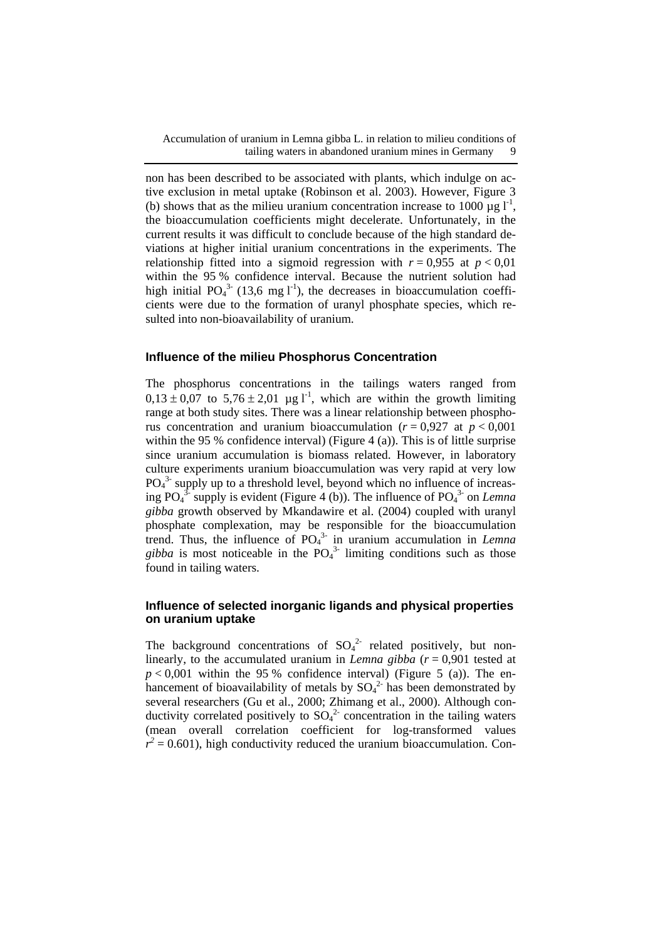non has been described to be associated with plants, which indulge on active exclusion in metal uptake (Robinson et al. 2003). However, Figure 3 (b) shows that as the milieu uranium concentration increase to 1000  $\mu$ g l<sup>-1</sup>, the bioaccumulation coefficients might decelerate. Unfortunately, in the current results it was difficult to conclude because of the high standard deviations at higher initial uranium concentrations in the experiments. The relationship fitted into a sigmoid regression with  $r = 0.955$  at  $p < 0.01$ within the 95 % confidence interval. Because the nutrient solution had high initial  $PO_4^{3}$ <sup>-</sup> (13,6 mg l<sup>-1</sup>), the decreases in bioaccumulation coefficients were due to the formation of uranyl phosphate species, which resulted into non-bioavailability of uranium.

## **Influence of the milieu Phosphorus Concentration**

The phosphorus concentrations in the tailings waters ranged from  $0.13 \pm 0.07$  to  $5.76 \pm 2.01$  µg l<sup>-1</sup>, which are within the growth limiting range at both study sites. There was a linear relationship between phosphorus concentration and uranium bioaccumulation ( $r = 0.927$  at  $p < 0.001$ ) within the 95 % confidence interval) (Figure 4 (a)). This is of little surprise since uranium accumulation is biomass related. However, in laboratory culture experiments uranium bioaccumulation was very rapid at very low  $PO<sub>4</sub><sup>3</sup>$  supply up to a threshold level, beyond which no influence of increasing  $PO_4^{3}$ -supply is evident (Figure 4 (b)). The influence of  $PO_4^{3}$ - on *Lemna gibba* growth observed by Mkandawire et al. (2004) coupled with uranyl phosphate complexation, may be responsible for the bioaccumulation trend. Thus, the influence of PO4 3- in uranium accumulation in *Lemna*  gibba is most noticeable in the  $PO<sub>4</sub><sup>3</sup>$  limiting conditions such as those found in tailing waters.

## **Influence of selected inorganic ligands and physical properties on uranium uptake**

The background concentrations of  $SO_4^2$  related positively, but nonlinearly, to the accumulated uranium in *Lemna gibba*  $(r = 0.901$  tested at  $p < 0.001$  within the 95 % confidence interval) (Figure 5 (a)). The enhancement of bioavailability of metals by  $SO_4^2$  has been demonstrated by several researchers (Gu et al., 2000; Zhimang et al., 2000). Although conductivity correlated positively to  $SO_4^2$  concentration in the tailing waters (mean overall correlation coefficient for log-transformed values  $r^2$  = 0.601), high conductivity reduced the uranium bioaccumulation. Con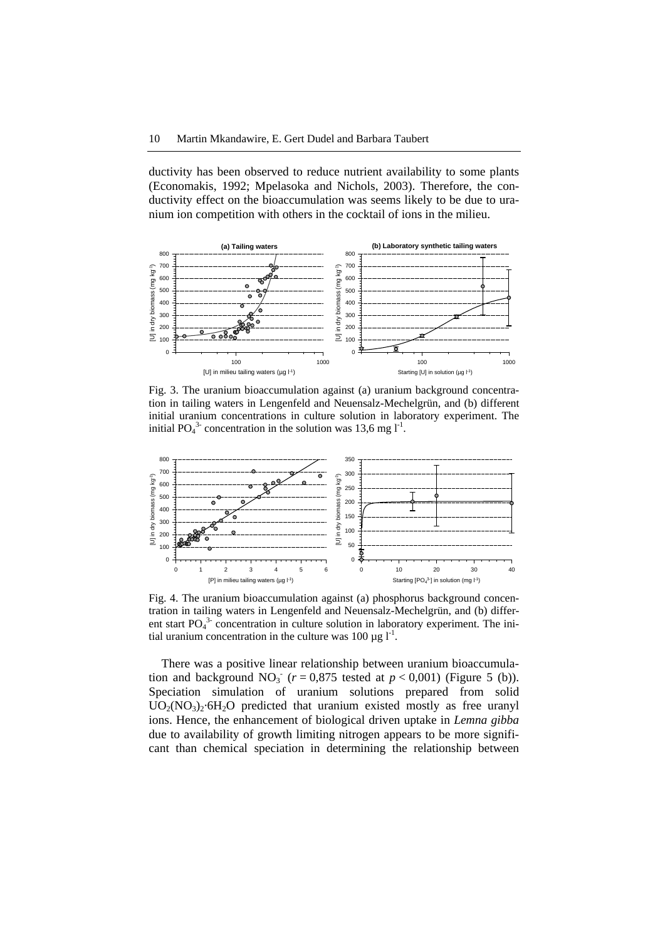ductivity has been observed to reduce nutrient availability to some plants (Economakis, 1992; Mpelasoka and Nichols, 2003). Therefore, the conductivity effect on the bioaccumulation was seems likely to be due to uranium ion competition with others in the cocktail of ions in the milieu.



Fig. 3. The uranium bioaccumulation against (a) uranium background concentration in tailing waters in Lengenfeld and Neuensalz-Mechelgrün, and (b) different initial uranium concentrations in culture solution in laboratory experiment. The initial PO<sub>4</sub><sup>3</sup> concentration in the solution was 13,6 mg  $l<sup>-1</sup>$ .



Fig. 4. The uranium bioaccumulation against (a) phosphorus background concentration in tailing waters in Lengenfeld and Neuensalz-Mechelgrün, and (b) different start PO<sub>4</sub><sup>3</sup> concentration in culture solution in laboratory experiment. The initial uranium concentration in the culture was 100  $\mu$ g l<sup>-1</sup>.

There was a positive linear relationship between uranium bioaccumulation and background  $NO_3^-$  ( $r = 0.875$  tested at  $p < 0.001$ ) (Figure 5 (b)). Speciation simulation of uranium solutions prepared from solid  $UO<sub>2</sub>(NO<sub>3</sub>)<sub>2</sub>·6H<sub>2</sub>O$  predicted that uranium existed mostly as free uranyl ions. Hence, the enhancement of biological driven uptake in *Lemna gibba* due to availability of growth limiting nitrogen appears to be more significant than chemical speciation in determining the relationship between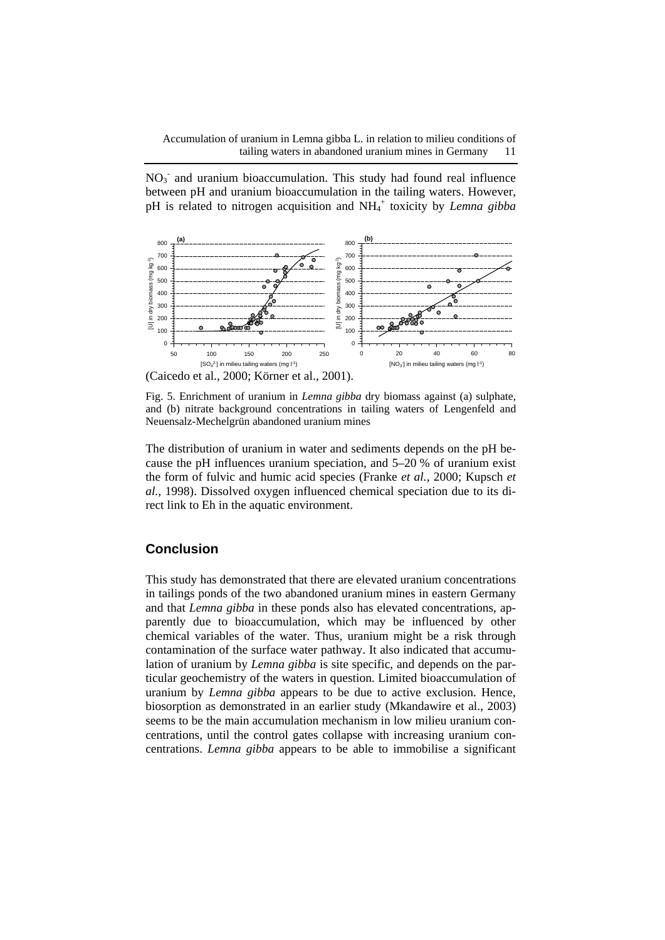Accumulation of uranium in Lemna gibba L. in relation to milieu conditions of tailing waters in abandoned uranium mines in Germany 11

 $NO<sub>3</sub>$  and uranium bioaccumulation. This study had found real influence between pH and uranium bioaccumulation in the tailing waters. However, pH is related to nitrogen acquisition and NH<sub>4</sub><sup>+</sup> toxicity by *Lemna gibba* 



Fig. 5. Enrichment of uranium in *Lemna gibba* dry biomass against (a) sulphate, and (b) nitrate background concentrations in tailing waters of Lengenfeld and Neuensalz-Mechelgrün abandoned uranium mines

The distribution of uranium in water and sediments depends on the pH because the pH influences uranium speciation, and 5–20 % of uranium exist the form of fulvic and humic acid species (Franke *et al.*, 2000; Kupsch *et al.*, 1998). Dissolved oxygen influenced chemical speciation due to its direct link to Eh in the aquatic environment.

## **Conclusion**

This study has demonstrated that there are elevated uranium concentrations in tailings ponds of the two abandoned uranium mines in eastern Germany and that *Lemna gibba* in these ponds also has elevated concentrations, apparently due to bioaccumulation, which may be influenced by other chemical variables of the water. Thus, uranium might be a risk through contamination of the surface water pathway. It also indicated that accumulation of uranium by *Lemna gibba* is site specific, and depends on the particular geochemistry of the waters in question. Limited bioaccumulation of uranium by *Lemna gibba* appears to be due to active exclusion. Hence, biosorption as demonstrated in an earlier study (Mkandawire et al., 2003) seems to be the main accumulation mechanism in low milieu uranium concentrations, until the control gates collapse with increasing uranium concentrations. *Lemna gibba* appears to be able to immobilise a significant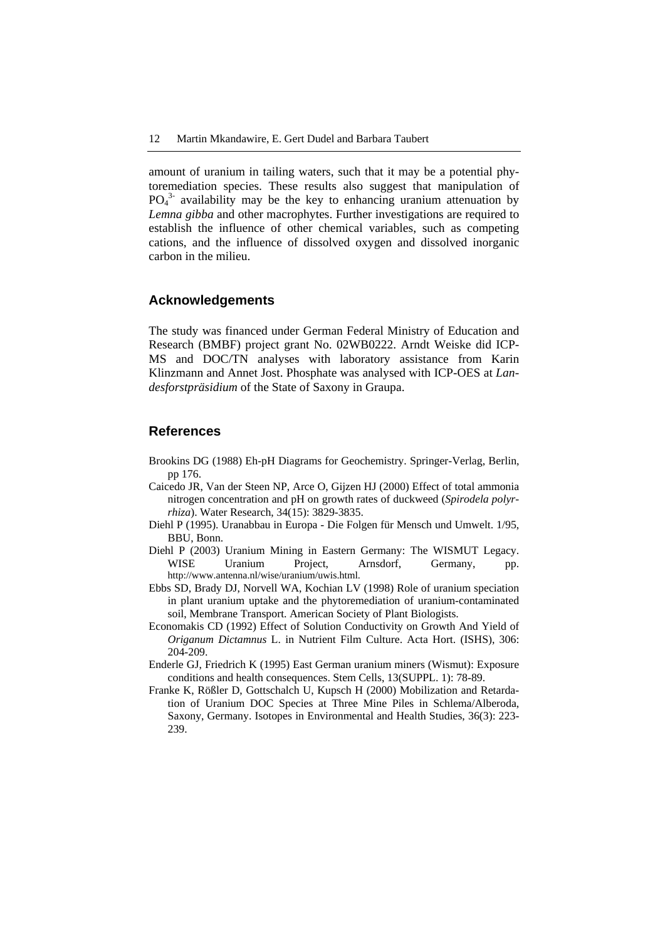amount of uranium in tailing waters, such that it may be a potential phytoremediation species. These results also suggest that manipulation of  $PO<sub>4</sub><sup>3</sup>$  availability may be the key to enhancing uranium attenuation by *Lemna gibba* and other macrophytes. Further investigations are required to establish the influence of other chemical variables, such as competing cations, and the influence of dissolved oxygen and dissolved inorganic carbon in the milieu.

#### **Acknowledgements**

The study was financed under German Federal Ministry of Education and Research (BMBF) project grant No. 02WB0222. Arndt Weiske did ICP-MS and DOC/TN analyses with laboratory assistance from Karin Klinzmann and Annet Jost. Phosphate was analysed with ICP-OES at *Landesforstpräsidium* of the State of Saxony in Graupa.

#### **References**

- Brookins DG (1988) Eh-pH Diagrams for Geochemistry. Springer-Verlag, Berlin, pp 176.
- Caicedo JR, Van der Steen NP, Arce O, Gijzen HJ (2000) Effect of total ammonia nitrogen concentration and pH on growth rates of duckweed (*Spirodela polyrrhiza*). Water Research, 34(15): 3829-3835.
- Diehl P (1995). Uranabbau in Europa Die Folgen für Mensch und Umwelt. 1/95, BBU, Bonn.
- Diehl P (2003) Uranium Mining in Eastern Germany: The WISMUT Legacy. WISE Uranium Project, Arnsdorf, Germany, pp. http://www.antenna.nl/wise/uranium/uwis.html.
- Ebbs SD, Brady DJ, Norvell WA, Kochian LV (1998) Role of uranium speciation in plant uranium uptake and the phytoremediation of uranium-contaminated soil, Membrane Transport. American Society of Plant Biologists.
- Economakis CD (1992) Effect of Solution Conductivity on Growth And Yield of *Origanum Dictamnus* L. in Nutrient Film Culture. Acta Hort. (ISHS), 306: 204-209.
- Enderle GJ, Friedrich K (1995) East German uranium miners (Wismut): Exposure conditions and health consequences. Stem Cells, 13(SUPPL. 1): 78-89.
- Franke K, Rößler D, Gottschalch U, Kupsch H (2000) Mobilization and Retardation of Uranium DOC Species at Three Mine Piles in Schlema/Alberoda, Saxony, Germany. Isotopes in Environmental and Health Studies, 36(3): 223- 239.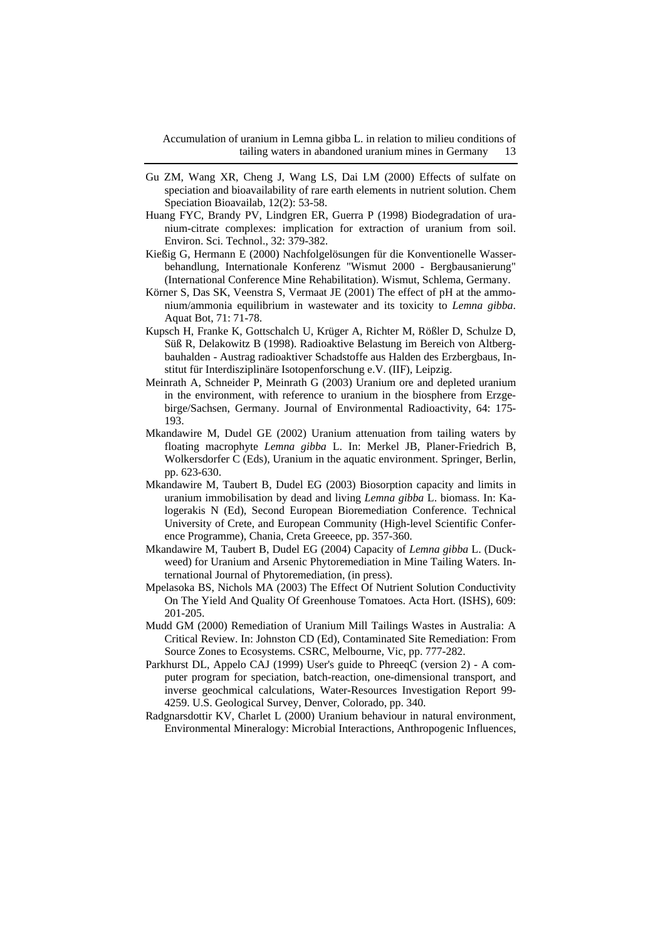- Gu ZM, Wang XR, Cheng J, Wang LS, Dai LM (2000) Effects of sulfate on speciation and bioavailability of rare earth elements in nutrient solution. Chem Speciation Bioavailab, 12(2): 53-58.
- Huang FYC, Brandy PV, Lindgren ER, Guerra P (1998) Biodegradation of uranium-citrate complexes: implication for extraction of uranium from soil. Environ. Sci. Technol., 32: 379-382.
- Kießig G, Hermann E (2000) Nachfolgelösungen für die Konventionelle Wasserbehandlung, Internationale Konferenz "Wismut 2000 - Bergbausanierung" (International Conference Mine Rehabilitation). Wismut, Schlema, Germany.
- Körner S, Das SK, Veenstra S, Vermaat JE (2001) The effect of pH at the ammonium/ammonia equilibrium in wastewater and its toxicity to *Lemna gibba*. Aquat Bot, 71: 71-78.
- Kupsch H, Franke K, Gottschalch U, Krüger A, Richter M, Rößler D, Schulze D, Süß R, Delakowitz B (1998). Radioaktive Belastung im Bereich von Altbergbauhalden - Austrag radioaktiver Schadstoffe aus Halden des Erzbergbaus, Institut für Interdisziplinäre Isotopenforschung e.V. (IIF), Leipzig.
- Meinrath A, Schneider P, Meinrath G (2003) Uranium ore and depleted uranium in the environment, with reference to uranium in the biosphere from Erzgebirge/Sachsen, Germany. Journal of Environmental Radioactivity, 64: 175- 193.
- Mkandawire M, Dudel GE (2002) Uranium attenuation from tailing waters by floating macrophyte *Lemna gibba* L. In: Merkel JB, Planer-Friedrich B, Wolkersdorfer C (Eds), Uranium in the aquatic environment. Springer, Berlin, pp. 623-630.
- Mkandawire M, Taubert B, Dudel EG (2003) Biosorption capacity and limits in uranium immobilisation by dead and living *Lemna gibba* L. biomass. In: Kalogerakis N (Ed), Second European Bioremediation Conference. Technical University of Crete, and European Community (High-level Scientific Conference Programme), Chania, Creta Greeece, pp. 357-360.
- Mkandawire M, Taubert B, Dudel EG (2004) Capacity of *Lemna gibba* L. (Duckweed) for Uranium and Arsenic Phytoremediation in Mine Tailing Waters. International Journal of Phytoremediation, (in press).
- Mpelasoka BS, Nichols MA (2003) The Effect Of Nutrient Solution Conductivity On The Yield And Quality Of Greenhouse Tomatoes. Acta Hort. (ISHS), 609: 201-205.
- Mudd GM (2000) Remediation of Uranium Mill Tailings Wastes in Australia: A Critical Review. In: Johnston CD (Ed), Contaminated Site Remediation: From Source Zones to Ecosystems. CSRC, Melbourne, Vic, pp. 777-282.
- Parkhurst DL, Appelo CAJ (1999) User's guide to PhreeqC (version 2) A computer program for speciation, batch-reaction, one-dimensional transport, and inverse geochmical calculations, Water-Resources Investigation Report 99- 4259. U.S. Geological Survey, Denver, Colorado, pp. 340.
- Radgnarsdottir KV, Charlet L (2000) Uranium behaviour in natural environment, Environmental Mineralogy: Microbial Interactions, Anthropogenic Influences,